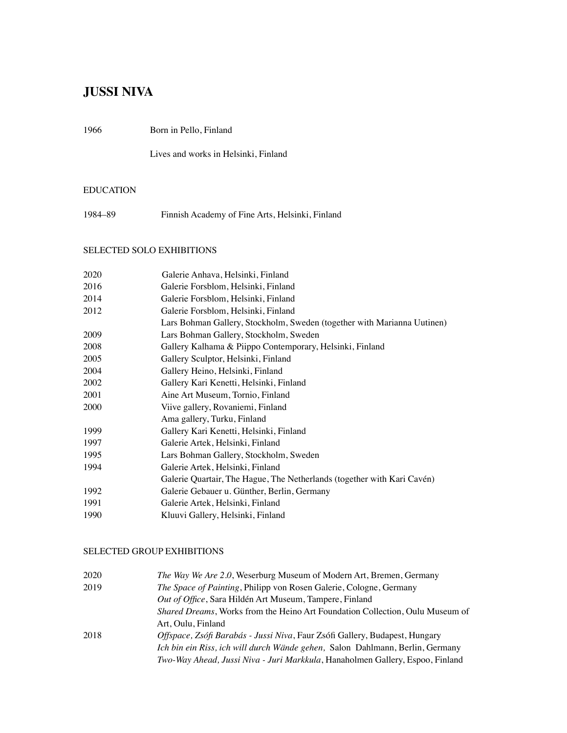# **JUSSI NIVA**

1966 Born in Pello, Finland

Lives and works in Helsinki, Finland

# EDUCATION

1984–89 Finnish Academy of Fine Arts, Helsinki, Finland

# SELECTED SOLO EXHIBITIONS

| 2020 | Galerie Anhava, Helsinki, Finland                                       |  |  |
|------|-------------------------------------------------------------------------|--|--|
| 2016 | Galerie Forsblom, Helsinki, Finland                                     |  |  |
| 2014 | Galerie Forsblom, Helsinki, Finland                                     |  |  |
| 2012 | Galerie Forsblom, Helsinki, Finland                                     |  |  |
|      | Lars Bohman Gallery, Stockholm, Sweden (together with Marianna Uutinen) |  |  |
| 2009 | Lars Bohman Gallery, Stockholm, Sweden                                  |  |  |
| 2008 | Gallery Kalhama & Piippo Contemporary, Helsinki, Finland                |  |  |
| 2005 | Gallery Sculptor, Helsinki, Finland                                     |  |  |
| 2004 | Gallery Heino, Helsinki, Finland                                        |  |  |
| 2002 | Gallery Kari Kenetti, Helsinki, Finland                                 |  |  |
| 2001 | Aine Art Museum, Tornio, Finland                                        |  |  |
| 2000 | Viive gallery, Rovaniemi, Finland                                       |  |  |
|      | Ama gallery, Turku, Finland                                             |  |  |
| 1999 | Gallery Kari Kenetti, Helsinki, Finland                                 |  |  |
| 1997 | Galerie Artek, Helsinki, Finland                                        |  |  |
| 1995 | Lars Bohman Gallery, Stockholm, Sweden                                  |  |  |
| 1994 | Galerie Artek, Helsinki, Finland                                        |  |  |
|      | Galerie Quartair, The Hague, The Netherlands (together with Kari Cavén) |  |  |
| 1992 | Galerie Gebauer u. Günther, Berlin, Germany                             |  |  |
| 1991 | Galerie Artek, Helsinki, Finland                                        |  |  |
| 1990 | Kluuvi Gallery, Helsinki, Finland                                       |  |  |
|      |                                                                         |  |  |

## SELECTED GROUP EXHIBITIONS

| 2020 | <i>The Way We Are 2.0, Weserburg Museum of Modern Art, Bremen, Germany</i>            |
|------|---------------------------------------------------------------------------------------|
| 2019 | The Space of Painting, Philipp von Rosen Galerie, Cologne, Germany                    |
|      | Out of Office, Sara Hildén Art Museum, Tampere, Finland                               |
|      | <i>Shared Dreams</i> , Works from the Heino Art Foundation Collection, Oulu Museum of |
|      | Art, Oulu, Finland                                                                    |
| 2018 | <i>Offspace, Zsófi Barabás - Jussi Niva, Faur Zsófi Gallery, Budapest, Hungary</i>    |
|      | Ich bin ein Riss, ich will durch Wände gehen, Salon Dahlmann, Berlin, Germany         |
|      | Two-Way Ahead, Jussi Niva - Juri Markkula, Hanaholmen Gallery, Espoo, Finland         |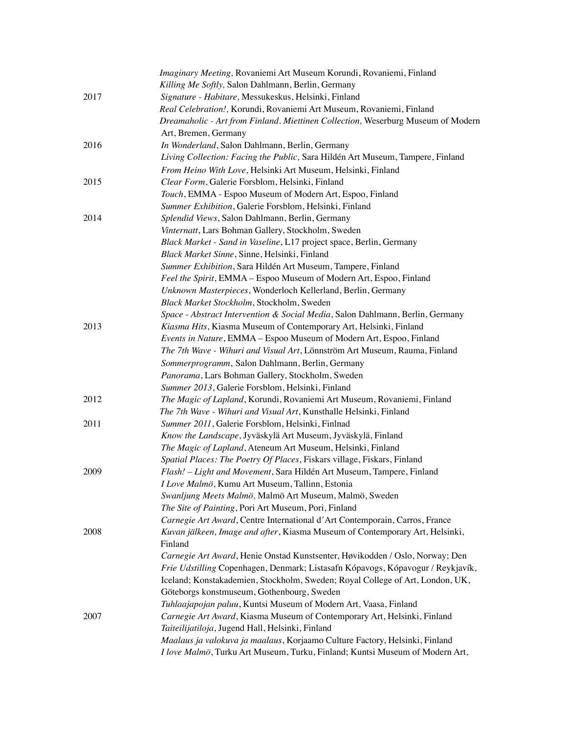|      | Imaginary Meeting, Rovaniemi Art Museum Korundi, Rovaniemi, Finland              |
|------|----------------------------------------------------------------------------------|
|      | Killing Me Softly, Salon Dahlmann, Berlin, Germany                               |
| 2017 | Signature - Habitare, Messukeskus, Helsinki, Finland                             |
|      | Real Celebration!, Korundi, Rovaniemi Art Museum, Rovaniemi, Finland             |
|      | Dreamaholic - Art from Finland. Miettinen Collection, Weserburg Museum of Modern |
|      | Art, Bremen, Germany                                                             |
| 2016 | In Wonderland, Salon Dahlmann, Berlin, Germany                                   |
|      | Living Collection: Facing the Public, Sara Hildén Art Museum, Tampere, Finland   |
|      | From Heino With Love, Helsinki Art Museum, Helsinki, Finland                     |
| 2015 | Clear Form, Galerie Forsblom, Helsinki, Finland                                  |
|      | Touch, EMMA - Espoo Museum of Modern Art, Espoo, Finland                         |
|      | Summer Exhibition, Galerie Forsblom, Helsinki, Finland                           |
| 2014 | Splendid Views, Salon Dahlmann, Berlin, Germany                                  |
|      | Vinternatt, Lars Bohman Gallery, Stockholm, Sweden                               |
|      | Black Market - Sand in Vaseline, L17 project space, Berlin, Germany              |
|      | Black Market Sinne, Sinne, Helsinki, Finland                                     |
|      | Summer Exhibition, Sara Hildén Art Museum, Tampere, Finland                      |
|      | Feel the Spirit, EMMA - Espoo Museum of Modern Art, Espoo, Finland               |
|      | Unknown Masterpieces, Wonderloch Kellerland, Berlin, Germany                     |
|      | Black Market Stockholm, Stockholm, Sweden                                        |
|      | Space - Abstract Intervention & Social Media, Salon Dahlmann, Berlin, Germany    |
| 2013 | Kiasma Hits, Kiasma Museum of Contemporary Art, Helsinki, Finland                |
|      | Events in Nature, EMMA - Espoo Museum of Modern Art, Espoo, Finland              |
|      | The 7th Wave - Wihuri and Visual Art, Lönnström Art Museum, Rauma, Finland       |
|      | Sommerprogramm, Salon Dahlmann, Berlin, Germany                                  |
|      | Panorama, Lars Bohman Gallery, Stockholm, Sweden                                 |
|      | Summer 2013, Galerie Forsblom, Helsinki, Finland                                 |
| 2012 | The Magic of Lapland, Korundi, Rovaniemi Art Museum, Rovaniemi, Finland          |
|      | The 7th Wave - Wihuri and Visual Art, Kunsthalle Helsinki, Finland               |
| 2011 | Summer 2011, Galerie Forsblom, Helsinki, Finlnad                                 |
|      | Know the Landscape, Jyväskylä Art Museum, Jyväskylä, Finland                     |
|      | The Magic of Lapland, Ateneum Art Museum, Helsinki, Finland                      |
|      | Spatial Places: The Poetry Of Places, Fiskars village, Fiskars, Finland          |
| 2009 | Flash! - Light and Movement, Sara Hildén Art Museum, Tampere, Finland            |
|      | I Love Malmö, Kumu Art Museum, Tallinn, Estonia                                  |
|      | Swanljung Meets Malmö, Malmö Art Museum, Malmö, Sweden                           |
|      | The Site of Painting, Pori Art Museum, Pori, Finland                             |
|      | Carnegie Art Award, Centre International d'Art Contemporain, Carros, France      |
| 2008 | Kuvan jälkeen, Image and after, Kiasma Museum of Contemporary Art, Helsinki,     |
|      | Finland                                                                          |
|      | Carnegie Art Award, Henie Onstad Kunstsenter, Høvikodden / Oslo, Norway; Den     |
|      | Frie Udstilling Copenhagen, Denmark; Listasafn Kópavogs, Kópavogur / Reykjavík,  |
|      | Iceland; Konstakademien, Stockholm, Sweden; Royal College of Art, London, UK,    |
|      | Göteborgs konstmuseum, Gothenbourg, Sweden                                       |
|      | Tuhlaajapojan paluu, Kuntsi Museum of Modern Art, Vaasa, Finland                 |
| 2007 | Carnegie Art Award, Kiasma Museum of Contemporary Art, Helsinki, Finland         |
|      | Taiteilijatiloja, Jugend Hall, Helsinki, Finland                                 |
|      | Maalaus ja valokuva ja maalaus, Korjaamo Culture Factory, Helsinki, Finland      |
|      | I love Malmö, Turku Art Museum, Turku, Finland; Kuntsi Museum of Modern Art,     |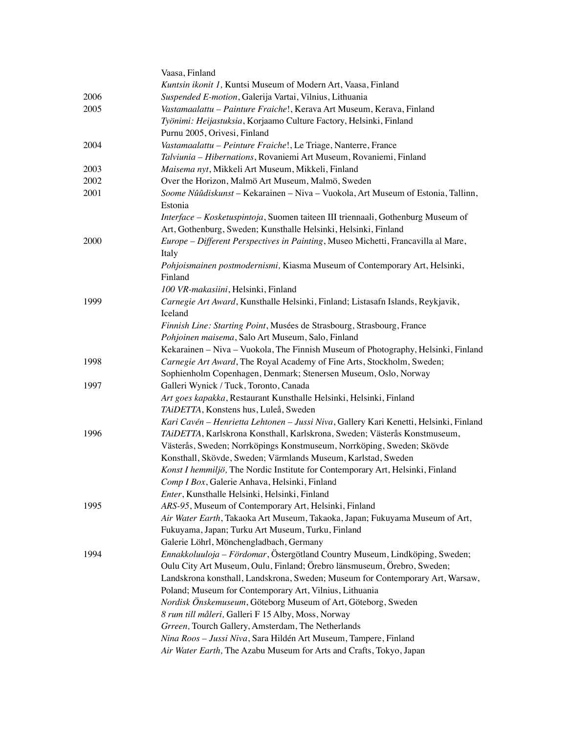|      | Vaasa, Finland                                                                              |
|------|---------------------------------------------------------------------------------------------|
|      | Kuntsin ikonit 1, Kuntsi Museum of Modern Art, Vaasa, Finland                               |
| 2006 | Suspended E-motion, Galerija Vartai, Vilnius, Lithuania                                     |
| 2005 | Vastamaalattu - Painture Fraiche!, Kerava Art Museum, Kerava, Finland                       |
|      | Työnimi: Heijastuksia, Korjaamo Culture Factory, Helsinki, Finland                          |
|      | Purnu 2005, Orivesi, Finland                                                                |
| 2004 | Vastamaalattu – Peinture Fraiche!, Le Triage, Nanterre, France                              |
|      | Talviunia - Hibernations, Rovaniemi Art Museum, Rovaniemi, Finland                          |
| 2003 | Maisema nyt, Mikkeli Art Museum, Mikkeli, Finland                                           |
| 2002 | Over the Horizon, Malmö Art Museum, Malmö, Sweden                                           |
| 2001 | Soome Nûûdiskunst - Kekarainen - Niva - Vuokola, Art Museum of Estonia, Tallinn,<br>Estonia |
|      | Interface - Kosketuspintoja, Suomen taiteen III triennaali, Gothenburg Museum of            |
|      | Art, Gothenburg, Sweden; Kunsthalle Helsinki, Helsinki, Finland                             |
| 2000 | Europe – Different Perspectives in Painting, Museo Michetti, Francavilla al Mare,           |
|      | Italy                                                                                       |
|      | Pohjoismainen postmodernismi, Kiasma Museum of Contemporary Art, Helsinki,                  |
|      | Finland                                                                                     |
|      | 100 VR-makasiini, Helsinki, Finland                                                         |
| 1999 | Carnegie Art Award, Kunsthalle Helsinki, Finland; Listasafn Islands, Reykjavik,<br>Iceland  |
|      | Finnish Line: Starting Point, Musées de Strasbourg, Strasbourg, France                      |
|      | Pohjoinen maisema, Salo Art Museum, Salo, Finland                                           |
|      | Kekarainen – Niva – Vuokola, The Finnish Museum of Photography, Helsinki, Finland           |
| 1998 | Carnegie Art Award, The Royal Academy of Fine Arts, Stockholm, Sweden;                      |
|      | Sophienholm Copenhagen, Denmark; Stenersen Museum, Oslo, Norway                             |
| 1997 | Galleri Wynick / Tuck, Toronto, Canada                                                      |
|      | Art goes kapakka, Restaurant Kunsthalle Helsinki, Helsinki, Finland                         |
|      | TAiDETTA, Konstens hus, Luleå, Sweden                                                       |
|      | Kari Cavén - Henrietta Lehtonen - Jussi Niva, Gallery Kari Kenetti, Helsinki, Finland       |
| 1996 | TAiDETTA, Karlskrona Konsthall, Karlskrona, Sweden; Västerås Konstmuseum,                   |
|      | Västerås, Sweden; Norrköpings Konstmuseum, Norrköping, Sweden; Skövde                       |
|      | Konsthall, Skövde, Sweden; Värmlands Museum, Karlstad, Sweden                               |
|      | Konst I hemmiljö, The Nordic Institute for Contemporary Art, Helsinki, Finland              |
|      | Comp I Box, Galerie Anhava, Helsinki, Finland                                               |
|      | Enter, Kunsthalle Helsinki, Helsinki, Finland                                               |
| 1995 | ARS-95, Museum of Contemporary Art, Helsinki, Finland                                       |
|      | Air Water Earth, Takaoka Art Museum, Takaoka, Japan; Fukuyama Museum of Art,                |
|      | Fukuyama, Japan; Turku Art Museum, Turku, Finland                                           |
|      | Galerie Löhrl, Mönchengladbach, Germany                                                     |
| 1994 | Ennakkoluuloja - Fördomar, Östergötland Country Museum, Lindköping, Sweden;                 |
|      | Oulu City Art Museum, Oulu, Finland; Örebro länsmuseum, Örebro, Sweden;                     |
|      | Landskrona konsthall, Landskrona, Sweden; Museum for Contemporary Art, Warsaw,              |
|      | Poland; Museum for Contemporary Art, Vilnius, Lithuania                                     |
|      | Nordisk Önskemuseum, Göteborg Museum of Art, Göteborg, Sweden                               |
|      | 8 rum till måleri, Galleri F 15 Alby, Moss, Norway                                          |
|      | Grreen, Tourch Gallery, Amsterdam, The Netherlands                                          |
|      | Nina Roos - Jussi Niva, Sara Hildén Art Museum, Tampere, Finland                            |
|      | Air Water Earth, The Azabu Museum for Arts and Crafts, Tokyo, Japan                         |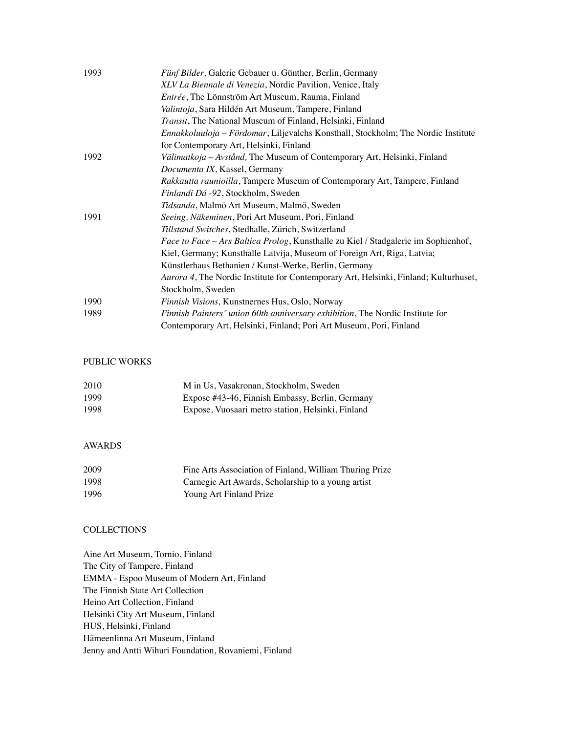| 1993 | Fünf Bilder, Galerie Gebauer u. Günther, Berlin, Germany                             |
|------|--------------------------------------------------------------------------------------|
|      | XLV La Biennale di Venezia, Nordic Pavilion, Venice, Italy                           |
|      | <i>Entrée</i> , The Lönnström Art Museum, Rauma, Finland                             |
|      | Valintoja, Sara Hildén Art Museum, Tampere, Finland                                  |
|      | <i>Transit</i> , The National Museum of Finland, Helsinki, Finland                   |
|      | Ennakkoluuloja – Fördomar, Liljevalchs Konsthall, Stockholm; The Nordic Institute    |
|      | for Contemporary Art, Helsinki, Finland                                              |
| 1992 | Välimatkoja – Avstånd, The Museum of Contemporary Art, Helsinki, Finland             |
|      | Documenta IX, Kassel, Germany                                                        |
|      | Rakkautta raunioilla, Tampere Museum of Contemporary Art, Tampere, Finland           |
|      | Finlandi Dá -92, Stockholm, Sweden                                                   |
|      | <i>Tidsanda</i> , Malmö Art Museum, Malmö, Sweden                                    |
| 1991 | Seeing, Näkeminen, Pori Art Museum, Pori, Finland                                    |
|      | Tillstand Switches, Stedhalle, Zürich, Switzerland                                   |
|      | Face to Face - Ars Baltica Prolog, Kunsthalle zu Kiel / Stadgalerie im Sophienhof,   |
|      | Kiel, Germany; Kunsthalle Latvija, Museum of Foreign Art, Riga, Latvia;              |
|      | Künstlerhaus Bethanien / Kunst-Werke, Berlin, Germany                                |
|      | Aurora 4, The Nordic Institute for Contemporary Art, Helsinki, Finland; Kulturhuset, |
|      | Stockholm, Sweden                                                                    |
| 1990 | Finnish Visions, Kunstnernes Hus, Oslo, Norway                                       |
| 1989 | Finnish Painters' union 60th anniversary exhibition, The Nordic Institute for        |
|      | Contemporary Art, Helsinki, Finland; Pori Art Museum, Pori, Finland                  |

#### PUBLIC WORKS

| 2010 | M in Us, Vasakronan, Stockholm, Sweden            |
|------|---------------------------------------------------|
| 1999 | Expose #43-46, Finnish Embassy, Berlin, Germany   |
| 1998 | Expose, Vuosaari metro station, Helsinki, Finland |

## AWARDS

| 2009 | Fine Arts Association of Finland, William Thuring Prize |
|------|---------------------------------------------------------|
| 1998 | Carnegie Art Awards, Scholarship to a young artist      |
| 1996 | Young Art Finland Prize                                 |

### **COLLECTIONS**

Aine Art Museum, Tornio, Finland The City of Tampere, Finland EMMA - Espoo Museum of Modern Art, Finland The Finnish State Art Collection Heino Art Collection, Finland Helsinki City Art Museum, Finland HUS, Helsinki, Finland Hämeenlinna Art Museum, Finland Jenny and Antti Wihuri Foundation, Rovaniemi, Finland